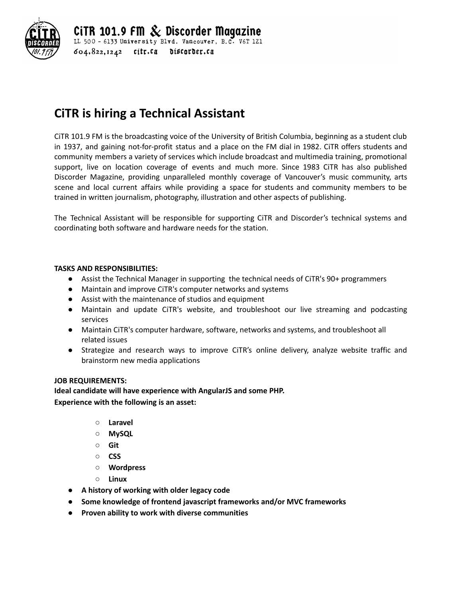

CiTR 101.9 FM  $\&$  Discorder Magazine LL 500 - 6133 University Blvd. Vancouver, B.C. V6T 1Z1  $604.822.1242$  citr.ca discorder.ca

# **CiTR is hiring a Technical Assistant**

CiTR 101.9 FM is the broadcasting voice of the University of British Columbia, beginning as a student club in 1937, and gaining not-for-profit status and a place on the FM dial in 1982. CiTR offers students and community members a variety of services which include broadcast and multimedia training, promotional support, live on location coverage of events and much more. Since 1983 CiTR has also published Discorder Magazine, providing unparalleled monthly coverage of Vancouver's music community, arts scene and local current affairs while providing a space for students and community members to be trained in written journalism, photography, illustration and other aspects of publishing.

The Technical Assistant will be responsible for supporting CiTR and Discorder's technical systems and coordinating both software and hardware needs for the station.

### **TASKS AND RESPONSIBILITIES:**

- **●** Assist the Technical Manager in supporting the technical needs of CiTR's 90+ programmers
- **●** Maintain and improve CiTR's computer networks and systems
- **●** Assist with the maintenance of studios and equipment
- **●** Maintain and update CiTR's website, and troubleshoot our live streaming and podcasting services
- **●** Maintain CiTR's computer hardware, software, networks and systems, and troubleshoot all related issues
- **●** Strategize and research ways to improve CiTR's online delivery, analyze website traffic and brainstorm new media applications

#### **JOB REQUIREMENTS:**

**Ideal candidate will have experience with AngularJS and some PHP. Experience with the following is an asset:**

- **○ Laravel**
- **○ MySQL**
- **○ Git**
- **○ CSS**
- **○ Wordpress**
- **○ Linux**
- **● A history of working with older legacy code**
- **● Some knowledge of frontend javascript frameworks and/or MVC frameworks**
- **● Proven ability to work with diverse communities**